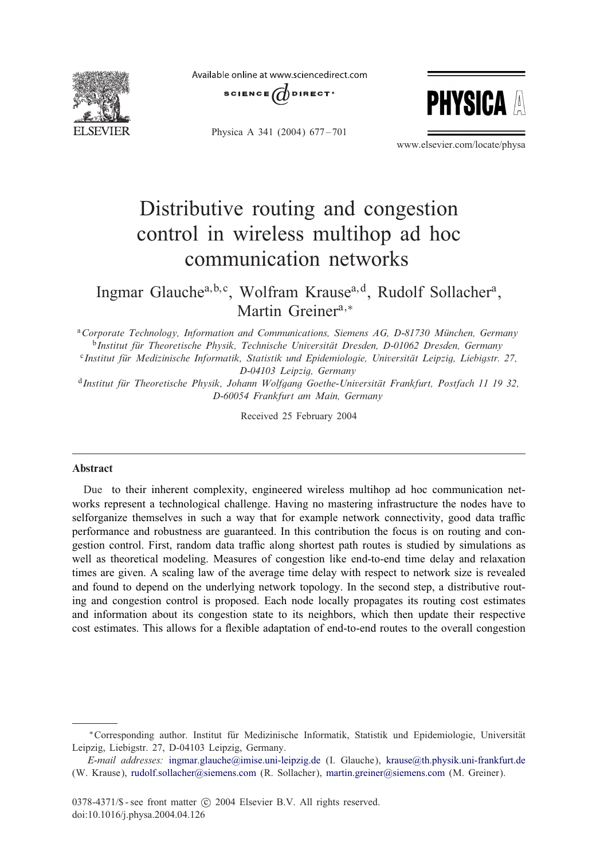

Available online at www.sciencedirect.com







www.elsevier.com/locate/physa

## Distributive routing and congestion control in wireless multihop ad hoc communication networks

Ingmar Glauchea, b,c, Wolfram Krausea,d, Rudolf Sollachera, Martin Greiner<sup>a,\*</sup>

<sup>a</sup> Corporate Technology, Information and Communications, Siemens AG, D-81730 München, Germany <sup>b</sup>Institut für Theoretische Physik, Technische Universität Dresden, D-01062 Dresden, Germany <sup>c</sup>Institut für Medizinische Informatik, Statistik und Epidemiologie, Universität Leipzig, Liebigstr. 27, *D-04103 Leipzig, Germany*

<sup>d</sup>*Institut fur Theoretische Physik, Johann Wolfgang Goethe-Universit " at Frankfurt, Postfach 11 19 32, " D-60054 Frankfurt am Main, Germany*

Received 25 February 2004

## Abstract

Due to their inherent complexity, engineered wireless multihop ad hoc communication networks represent a technological challenge. Having no mastering infrastructure the nodes have to selforganize themselves in such a way that for example network connectivity, good data traffic performance and robustness are guaranteed. In this contribution the focus is on routing and congestion control. First, random data traffic along shortest path routes is studied by simulations as well as theoretical modeling. Measures of congestion like end-to-end time delay and relaxation times are given. A scaling law of the average time delay with respect to network size is revealed and found to depend on the underlying network topology. In the second step, a distributive routing and congestion control is proposed. Each node locally propagates its routing cost estimates and information about its congestion state to its neighbors, which then update their respective cost estimates. This allows for a flexible adaptation of end-to-end routes to the overall congestion

<sup>∗</sup>Corresponding author. Institut fur Medizinische Informatik, Statistik und Epidemiologie, Universit9 9 at Leipzig, Liebigstr. 27, D-04103 Leipzig, Germany.

*E-mail addresses:* [ingmar.glauche@imise.uni-leipzig.de](mailto:ingmar.glauche@imise.uni-leipzig.de) (I. Glauche), [krause@th.physik.uni-frankfurt.de](mailto:krause@th.physik.uni-frankfurt.de) (W. Krause), [rudolf.sollacher@siemens.com](mailto:rudolf.sollacher@siemens.com) (R. Sollacher), [martin.greiner@siemens.com](mailto:martin.greiner@siemens.com) (M. Greiner).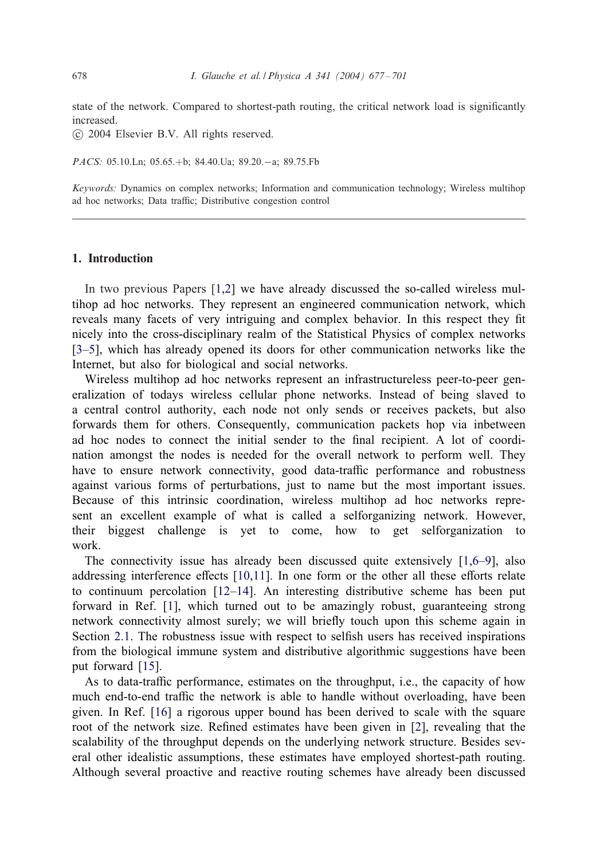state of the network. Compared to shortest-path routing, the critical network load is significantly increased.

-c 2004 Elsevier B.V. All rights reserved.

*PACS:* 05.10.Ln; 05.65.+b; 84.40.Ua; 89.20.−a; 89.75.Fb

*Keywords:* Dynamics on complex networks; Information and communication technology; Wireless multihop ad hoc networks; Data traffic; Distributive congestion control

## 1. Introduction

In two previous Papers [\[1,2\]](#page--1-0) we have already discussed the so-called wireless multihop ad hoc networks. They represent an engineered communication network, which reveals many facets of very intriguing and complex behavior. In this respect they fit nicely into the cross-disciplinary realm of the Statistical Physics of complex networks [\[3–5\]](#page--1-0), which has already opened its doors for other communication networks like the Internet, but also for biological and social networks.

Wireless multihop ad hoc networks represent an infrastructureless peer-to-peer generalization of todays wireless cellular phone networks. Instead of being slaved to a central control authority, each node not only sends or receives packets, but also forwards them for others. Consequently, communication packets hop via inbetween ad hoc nodes to connect the initial sender to the final recipient. A lot of coordination amongst the nodes is needed for the overall network to perform well. They have to ensure network connectivity, good data-traffic performance and robustness against various forms of perturbations, just to name but the most important issues. Because of this intrinsic coordination, wireless multihop ad hoc networks represent an excellent example of what is called a selforganizing network. However, their biggest challenge is yet to come, how to get selforganization to work.

The connectivity issue has already been discussed quite extensively [\[1,6–9\]](#page--1-0), also addressing interference effects  $[10,11]$ . In one form or the other all these efforts relate to continuum percolation [\[12–14\]](#page--1-0). An interesting distributive scheme has been put forward in Ref. [\[1\]](#page--1-0), which turned out to be amazingly robust, guaranteeing strong network connectivity almost surely; we will briefly touch upon this scheme again in Section [2.1.](#page--1-0) The robustness issue with respect to selfish users has received inspirations from the biological immune system and distributive algorithmic suggestions have been put forward [\[15\]](#page--1-0).

As to data-traffic performance, estimates on the throughput, i.e., the capacity of how much end-to-end traffic the network is able to handle without overloading, have been given. In Ref. [\[16\]](#page--1-0) a rigorous upper bound has been derived to scale with the square root of the network size. Refined estimates have been given in  $[2]$ , revealing that the scalability of the throughput depends on the underlying network structure. Besides several other idealistic assumptions, these estimates have employed shortest-path routing. Although several proactive and reactive routing schemes have already been discussed